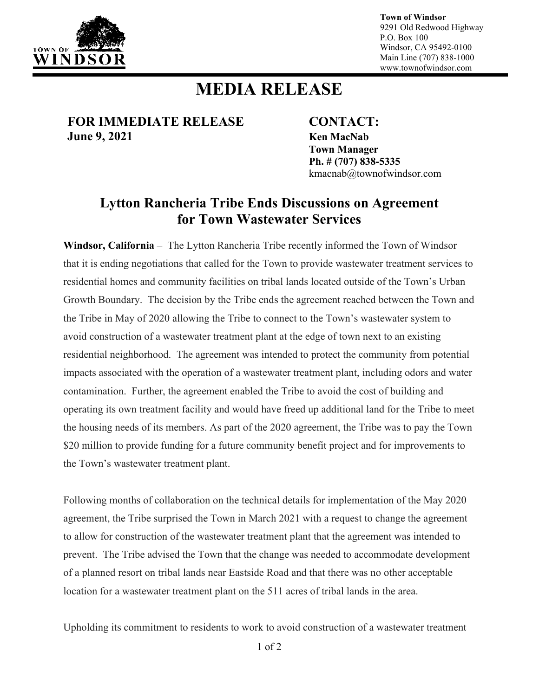

**Town of Windsor** 9291 Old Redwood Highway P.O. Box 100 Windsor, CA 95492-0100 Main Line (707) 838-1000 www.townofwindsor.com

## **MEDIA RELEASE**

**FOR IMMEDIATE RELEASE CONTACT: June 9, 2021 Ken MacNab**

**Town Manager Ph. # (707) 838-5335** kmacnab@townofwindsor.com

## **Lytton Rancheria Tribe Ends Discussions on Agreement for Town Wastewater Services**

**Windsor, California** – The Lytton Rancheria Tribe recently informed the Town of Windsor that it is ending negotiations that called for the Town to provide wastewater treatment services to residential homes and community facilities on tribal lands located outside of the Town's Urban Growth Boundary. The decision by the Tribe ends the agreement reached between the Town and the Tribe in May of 2020 allowing the Tribe to connect to the Town's wastewater system to avoid construction of a wastewater treatment plant at the edge of town next to an existing residential neighborhood. The agreement was intended to protect the community from potential impacts associated with the operation of a wastewater treatment plant, including odors and water contamination. Further, the agreement enabled the Tribe to avoid the cost of building and operating its own treatment facility and would have freed up additional land for the Tribe to meet the housing needs of its members. As part of the 2020 agreement, the Tribe was to pay the Town \$20 million to provide funding for a future community benefit project and for improvements to the Town's wastewater treatment plant.

Following months of collaboration on the technical details for implementation of the May 2020 agreement, the Tribe surprised the Town in March 2021 with a request to change the agreement to allow for construction of the wastewater treatment plant that the agreement was intended to prevent. The Tribe advised the Town that the change was needed to accommodate development of a planned resort on tribal lands near Eastside Road and that there was no other acceptable location for a wastewater treatment plant on the 511 acres of tribal lands in the area.

Upholding its commitment to residents to work to avoid construction of a wastewater treatment